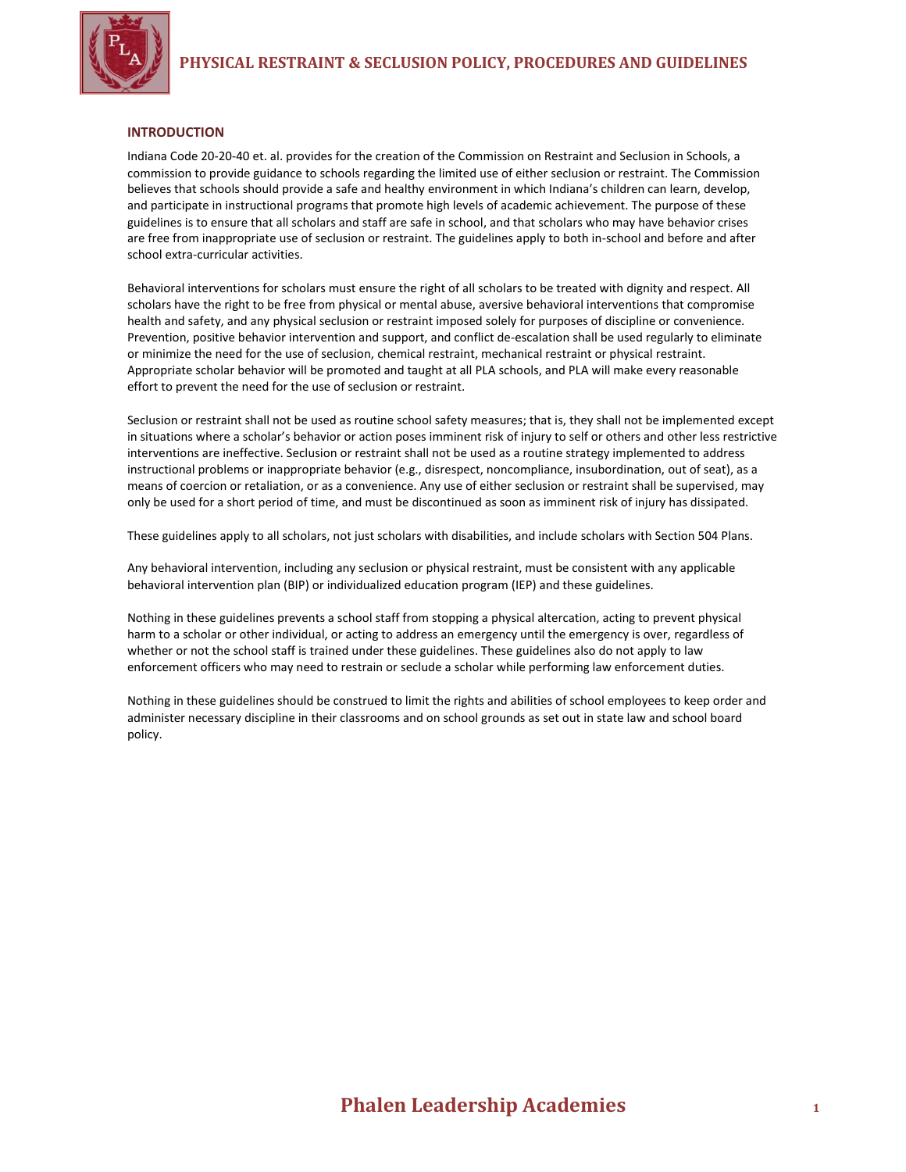

### **INTRODUCTION**

Indiana Code 20-20-40 et. al. provides for the creation of the Commission on Restraint and Seclusion in Schools, a commission to provide guidance to schools regarding the limited use of either seclusion or restraint. The Commission believes that schools should provide a safe and healthy environment in which Indiana's children can learn, develop, and participate in instructional programs that promote high levels of academic achievement. The purpose of these guidelines is to ensure that all scholars and staff are safe in school, and that scholars who may have behavior crises are free from inappropriate use of seclusion or restraint. The guidelines apply to both in-school and before and after school extra-curricular activities.

Behavioral interventions for scholars must ensure the right of all scholars to be treated with dignity and respect. All scholars have the right to be free from physical or mental abuse, aversive behavioral interventions that compromise health and safety, and any physical seclusion or restraint imposed solely for purposes of discipline or convenience. Prevention, positive behavior intervention and support, and conflict de-escalation shall be used regularly to eliminate or minimize the need for the use of seclusion, chemical restraint, mechanical restraint or physical restraint. Appropriate scholar behavior will be promoted and taught at all PLA schools, and PLA will make every reasonable effort to prevent the need for the use of seclusion or restraint.

Seclusion or restraint shall not be used as routine school safety measures; that is, they shall not be implemented except in situations where a scholar's behavior or action poses imminent risk of injury to self or others and other less restrictive interventions are ineffective. Seclusion or restraint shall not be used as a routine strategy implemented to address instructional problems or inappropriate behavior (e.g., disrespect, noncompliance, insubordination, out of seat), as a means of coercion or retaliation, or as a convenience. Any use of either seclusion or restraint shall be supervised, may only be used for a short period of time, and must be discontinued as soon as imminent risk of injury has dissipated.

These guidelines apply to all scholars, not just scholars with disabilities, and include scholars with Section 504 Plans.

Any behavioral intervention, including any seclusion or physical restraint, must be consistent with any applicable behavioral intervention plan (BIP) or individualized education program (IEP) and these guidelines.

Nothing in these guidelines prevents a school staff from stopping a physical altercation, acting to prevent physical harm to a scholar or other individual, or acting to address an emergency until the emergency is over, regardless of whether or not the school staff is trained under these guidelines. These guidelines also do not apply to law enforcement officers who may need to restrain or seclude a scholar while performing law enforcement duties.

Nothing in these guidelines should be construed to limit the rights and abilities of school employees to keep order and administer necessary discipline in their classrooms and on school grounds as set out in state law and school board policy.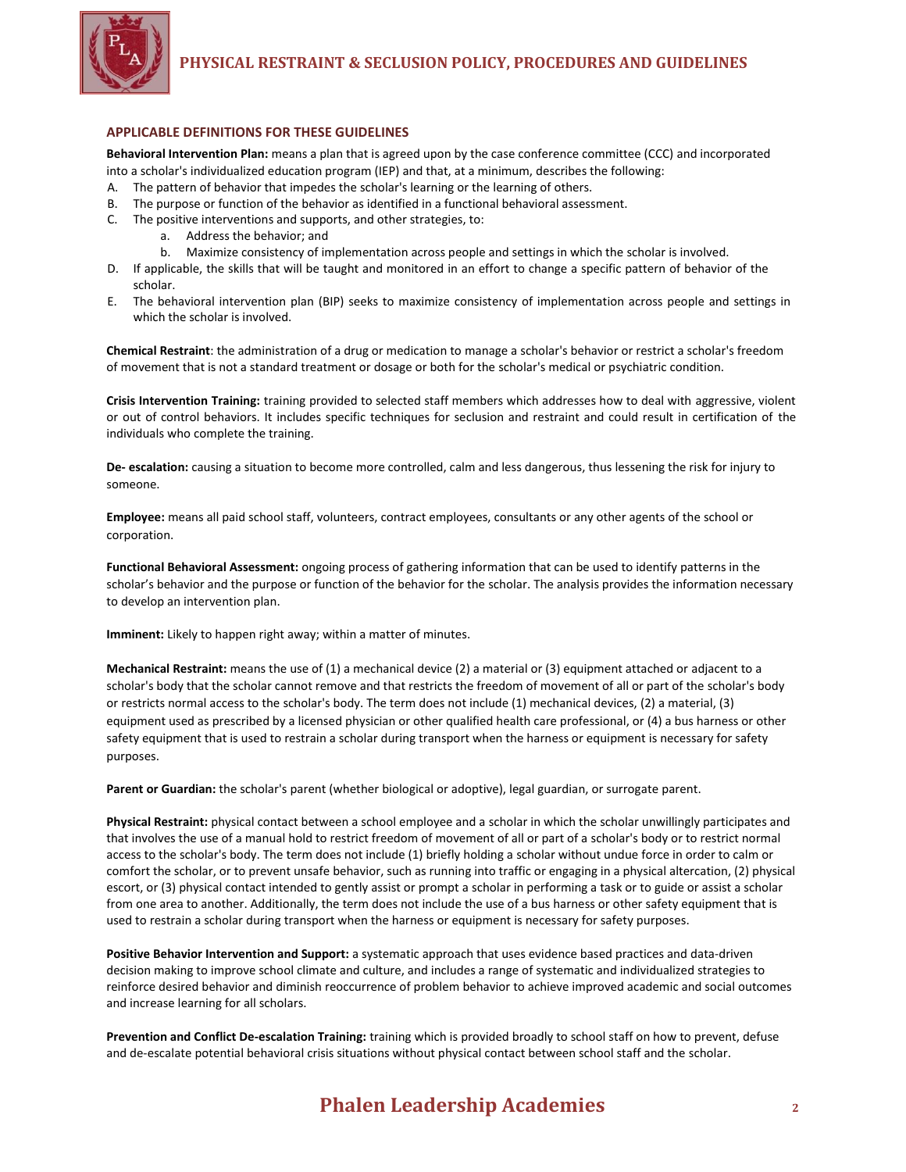

#### **APPLICABLE DEFINITIONS FOR THESE GUIDELINES**

**Behavioral Intervention Plan:** means a plan that is agreed upon by the case conference committee (CCC) and incorporated into a scholar's individualized education program (IEP) and that, at a minimum, describes the following:

- A. The pattern of behavior that impedes the scholar's learning or the learning of others.
- B. The purpose or function of the behavior as identified in a functional behavioral assessment.
- C. The positive interventions and supports, and other strategies, to:
	- a. Address the behavior; and
	- b. Maximize consistency of implementation across people and settings in which the scholar is involved.
- D. If applicable, the skills that will be taught and monitored in an effort to change a specific pattern of behavior of the scholar.
- E. The behavioral intervention plan (BIP) seeks to maximize consistency of implementation across people and settings in which the scholar is involved.

**Chemical Restraint**: the administration of a drug or medication to manage a scholar's behavior or restrict a scholar's freedom of movement that is not a standard treatment or dosage or both for the scholar's medical or psychiatric condition.

**Crisis Intervention Training:** training provided to selected staff members which addresses how to deal with aggressive, violent or out of control behaviors. It includes specific techniques for seclusion and restraint and could result in certification of the individuals who complete the training.

**De- escalation:** causing a situation to become more controlled, calm and less dangerous, thus lessening the risk for injury to someone.

**Employee:** means all paid school staff, volunteers, contract employees, consultants or any other agents of the school or corporation.

**Functional Behavioral Assessment:** ongoing process of gathering information that can be used to identify patterns in the scholar's behavior and the purpose or function of the behavior for the scholar. The analysis provides the information necessary to develop an intervention plan.

**Imminent:** Likely to happen right away; within a matter of minutes.

**Mechanical Restraint:** means the use of (1) a mechanical device (2) a material or (3) equipment attached or adjacent to a scholar's body that the scholar cannot remove and that restricts the freedom of movement of all or part of the scholar's body or restricts normal access to the scholar's body. The term does not include (1) mechanical devices, (2) a material, (3) equipment used as prescribed by a licensed physician or other qualified health care professional, or (4) a bus harness or other safety equipment that is used to restrain a scholar during transport when the harness or equipment is necessary for safety purposes.

**Parent or Guardian:** the scholar's parent (whether biological or adoptive), legal guardian, or surrogate parent.

**Physical Restraint:** physical contact between a school employee and a scholar in which the scholar unwillingly participates and that involves the use of a manual hold to restrict freedom of movement of all or part of a scholar's body or to restrict normal access to the scholar's body. The term does not include (1) briefly holding a scholar without undue force in order to calm or comfort the scholar, or to prevent unsafe behavior, such as running into traffic or engaging in a physical altercation, (2) physical escort, or (3) physical contact intended to gently assist or prompt a scholar in performing a task or to guide or assist a scholar from one area to another. Additionally, the term does not include the use of a bus harness or other safety equipment that is used to restrain a scholar during transport when the harness or equipment is necessary for safety purposes.

**Positive Behavior Intervention and Support:** a systematic approach that uses evidence based practices and data-driven decision making to improve school climate and culture, and includes a range of systematic and individualized strategies to reinforce desired behavior and diminish reoccurrence of problem behavior to achieve improved academic and social outcomes and increase learning for all scholars.

**Prevention and Conflict De-escalation Training:** training which is provided broadly to school staff on how to prevent, defuse and de-escalate potential behavioral crisis situations without physical contact between school staff and the scholar.

# **Phalen Leadership Academies <sup>2</sup>**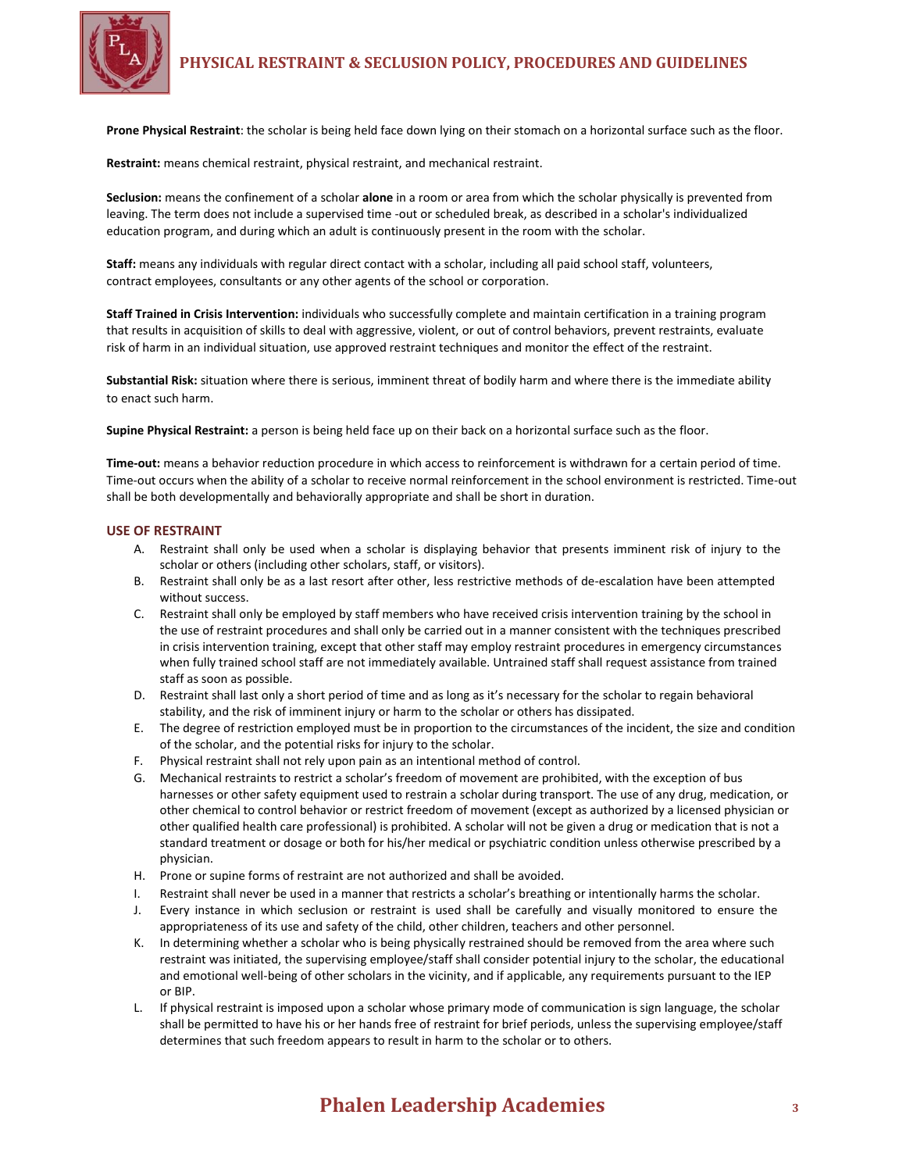

**Prone Physical Restraint**: the scholar is being held face down lying on their stomach on a horizontal surface such as the floor.

**Restraint:** means chemical restraint, physical restraint, and mechanical restraint.

**Seclusion:** means the confinement of a scholar **alone** in a room or area from which the scholar physically is prevented from leaving. The term does not include a supervised time -out or scheduled break, as described in a scholar's individualized education program, and during which an adult is continuously present in the room with the scholar.

**Staff:** means any individuals with regular direct contact with a scholar, including all paid school staff, volunteers, contract employees, consultants or any other agents of the school or corporation.

**Staff Trained in Crisis Intervention:** individuals who successfully complete and maintain certification in a training program that results in acquisition of skills to deal with aggressive, violent, or out of control behaviors, prevent restraints, evaluate risk of harm in an individual situation, use approved restraint techniques and monitor the effect of the restraint.

**Substantial Risk:** situation where there is serious, imminent threat of bodily harm and where there is the immediate ability to enact such harm.

**Supine Physical Restraint:** a person is being held face up on their back on a horizontal surface such as the floor.

**Time-out:** means a behavior reduction procedure in which access to reinforcement is withdrawn for a certain period of time. Time-out occurs when the ability of a scholar to receive normal reinforcement in the school environment is restricted. Time-out shall be both developmentally and behaviorally appropriate and shall be short in duration.

## **USE OF RESTRAINT**

- A. Restraint shall only be used when a scholar is displaying behavior that presents imminent risk of injury to the scholar or others (including other scholars, staff, or visitors).
- B. Restraint shall only be as a last resort after other, less restrictive methods of de-escalation have been attempted without success.
- C. Restraint shall only be employed by staff members who have received crisis intervention training by the school in the use of restraint procedures and shall only be carried out in a manner consistent with the techniques prescribed in crisis intervention training, except that other staff may employ restraint procedures in emergency circumstances when fully trained school staff are not immediately available. Untrained staff shall request assistance from trained staff as soon as possible.
- D. Restraint shall last only a short period of time and as long as it's necessary for the scholar to regain behavioral stability, and the risk of imminent injury or harm to the scholar or others has dissipated.
- E. The degree of restriction employed must be in proportion to the circumstances of the incident, the size and condition of the scholar, and the potential risks for injury to the scholar.
- F. Physical restraint shall not rely upon pain as an intentional method of control.
- G. Mechanical restraints to restrict a scholar's freedom of movement are prohibited, with the exception of bus harnesses or other safety equipment used to restrain a scholar during transport. The use of any drug, medication, or other chemical to control behavior or restrict freedom of movement (except as authorized by a licensed physician or other qualified health care professional) is prohibited. A scholar will not be given a drug or medication that is not a standard treatment or dosage or both for his/her medical or psychiatric condition unless otherwise prescribed by a physician.
- H. Prone or supine forms of restraint are not authorized and shall be avoided.
- I. Restraint shall never be used in a manner that restricts a scholar's breathing or intentionally harms the scholar.
- J. Every instance in which seclusion or restraint is used shall be carefully and visually monitored to ensure the appropriateness of its use and safety of the child, other children, teachers and other personnel.
- K. In determining whether a scholar who is being physically restrained should be removed from the area where such restraint was initiated, the supervising employee/staff shall consider potential injury to the scholar, the educational and emotional well-being of other scholars in the vicinity, and if applicable, any requirements pursuant to the IEP or BIP.
- L. If physical restraint is imposed upon a scholar whose primary mode of communication is sign language, the scholar shall be permitted to have his or her hands free of restraint for brief periods, unless the supervising employee/staff determines that such freedom appears to result in harm to the scholar or to others.

# **Phalen Leadership Academies 3**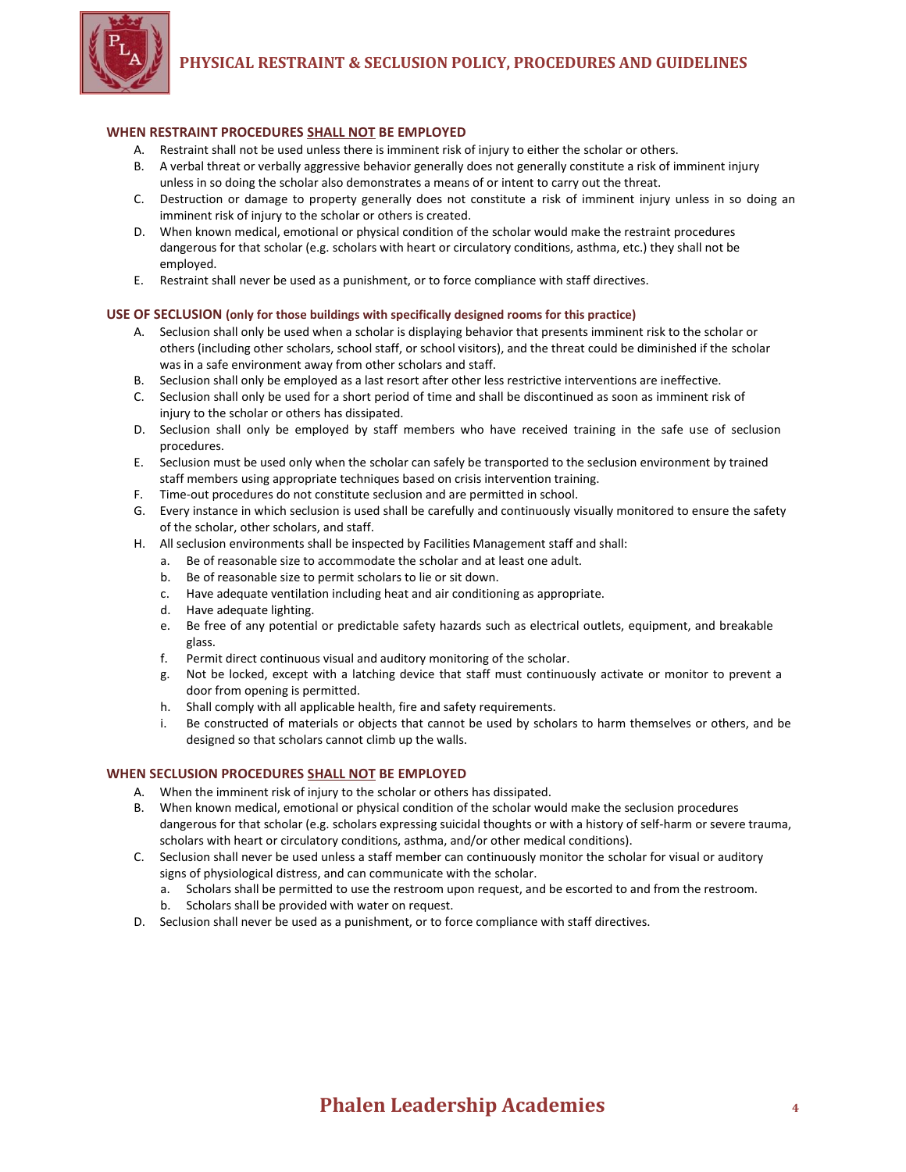# **PHYSICAL RESTRAINT & SECLUSION POLICY, PROCEDURES AND GUIDELINES**



# **WHEN RESTRAINT PROCEDURES SHALL NOT BE EMPLOYED**

- A. Restraint shall not be used unless there is imminent risk of injury to either the scholar or others.
- B. A verbal threat or verbally aggressive behavior generally does not generally constitute a risk of imminent injury unless in so doing the scholar also demonstrates a means of or intent to carry out the threat.
- C. Destruction or damage to property generally does not constitute a risk of imminent injury unless in so doing an imminent risk of injury to the scholar or others is created.
- D. When known medical, emotional or physical condition of the scholar would make the restraint procedures dangerous for that scholar (e.g. scholars with heart or circulatory conditions, asthma, etc.) they shall not be employed.
- E. Restraint shall never be used as a punishment, or to force compliance with staff directives.

# **USE OF SECLUSION (only for those buildings with specifically designed rooms for this practice)**

- A. Seclusion shall only be used when a scholar is displaying behavior that presents imminent risk to the scholar or others (including other scholars, school staff, or school visitors), and the threat could be diminished if the scholar was in a safe environment away from other scholars and staff.
- B. Seclusion shall only be employed as a last resort after other less restrictive interventions are ineffective.
- C. Seclusion shall only be used for a short period of time and shall be discontinued as soon as imminent risk of injury to the scholar or others has dissipated.
- D. Seclusion shall only be employed by staff members who have received training in the safe use of seclusion procedures.
- E. Seclusion must be used only when the scholar can safely be transported to the seclusion environment by trained staff members using appropriate techniques based on crisis intervention training.
- F. Time-out procedures do not constitute seclusion and are permitted in school.
- G. Every instance in which seclusion is used shall be carefully and continuously visually monitored to ensure the safety of the scholar, other scholars, and staff.
- H. All seclusion environments shall be inspected by Facilities Management staff and shall:
	- a. Be of reasonable size to accommodate the scholar and at least one adult.
	- b. Be of reasonable size to permit scholars to lie or sit down.
	- c. Have adequate ventilation including heat and air conditioning as appropriate.
	- d. Have adequate lighting.
	- e. Be free of any potential or predictable safety hazards such as electrical outlets, equipment, and breakable glass.
	- f. Permit direct continuous visual and auditory monitoring of the scholar.
	- g. Not be locked, except with a latching device that staff must continuously activate or monitor to prevent a door from opening is permitted.
	- h. Shall comply with all applicable health, fire and safety requirements.
	- i. Be constructed of materials or objects that cannot be used by scholars to harm themselves or others, and be designed so that scholars cannot climb up the walls.

# **WHEN SECLUSION PROCEDURES SHALL NOT BE EMPLOYED**

- A. When the imminent risk of injury to the scholar or others has dissipated.
- B. When known medical, emotional or physical condition of the scholar would make the seclusion procedures dangerous for that scholar (e.g. scholars expressing suicidal thoughts or with a history of self-harm or severe trauma, scholars with heart or circulatory conditions, asthma, and/or other medical conditions).
- C. Seclusion shall never be used unless a staff member can continuously monitor the scholar for visual or auditory signs of physiological distress, and can communicate with the scholar.
	- a. Scholars shall be permitted to use the restroom upon request, and be escorted to and from the restroom.
	- b. Scholars shall be provided with water on request.
- D. Seclusion shall never be used as a punishment, or to force compliance with staff directives.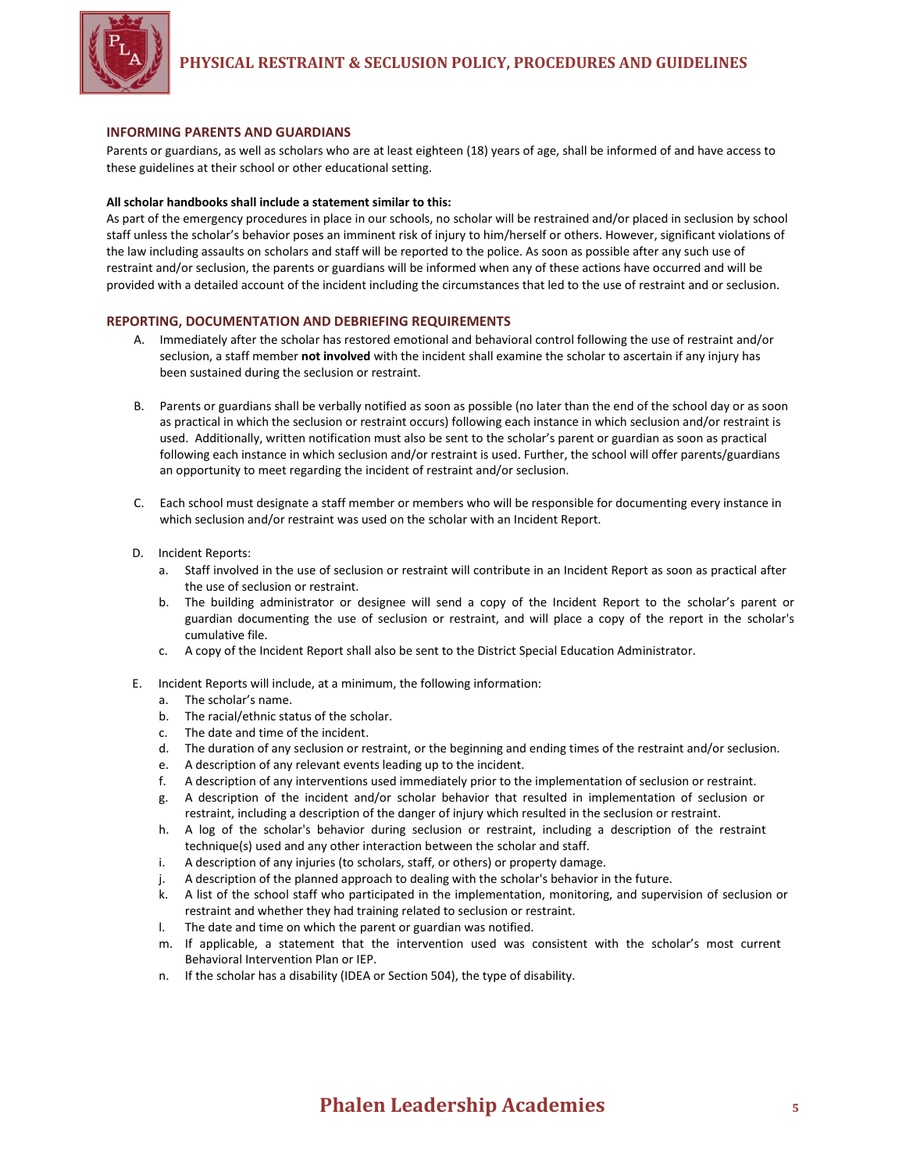

### **INFORMING PARENTS AND GUARDIANS**

Parents or guardians, as well as scholars who are at least eighteen (18) years of age, shall be informed of and have access to these guidelines at their school or other educational setting.

#### **All scholar handbooks shall include a statement similar to this:**

As part of the emergency procedures in place in our schools, no scholar will be restrained and/or placed in seclusion by school staff unless the scholar's behavior poses an imminent risk of injury to him/herself or others. However, significant violations of the law including assaults on scholars and staff will be reported to the police. As soon as possible after any such use of restraint and/or seclusion, the parents or guardians will be informed when any of these actions have occurred and will be provided with a detailed account of the incident including the circumstances that led to the use of restraint and or seclusion.

## **REPORTING, DOCUMENTATION AND DEBRIEFING REQUIREMENTS**

- A. Immediately after the scholar has restored emotional and behavioral control following the use of restraint and/or seclusion, a staff member **not involved** with the incident shall examine the scholar to ascertain if any injury has been sustained during the seclusion or restraint.
- B. Parents or guardians shall be verbally notified as soon as possible (no later than the end of the school day or as soon as practical in which the seclusion or restraint occurs) following each instance in which seclusion and/or restraint is used. Additionally, written notification must also be sent to the scholar's parent or guardian as soon as practical following each instance in which seclusion and/or restraint is used. Further, the school will offer parents/guardians an opportunity to meet regarding the incident of restraint and/or seclusion.
- C. Each school must designate a staff member or members who will be responsible for documenting every instance in which seclusion and/or restraint was used on the scholar with an Incident Report.
- D. Incident Reports:
	- a. Staff involved in the use of seclusion or restraint will contribute in an Incident Report as soon as practical after the use of seclusion or restraint.
	- b. The building administrator or designee will send a copy of the Incident Report to the scholar's parent or guardian documenting the use of seclusion or restraint, and will place a copy of the report in the scholar's cumulative file.
	- c. A copy of the Incident Report shall also be sent to the District Special Education Administrator.
- E. Incident Reports will include, at a minimum, the following information:
	- a. The scholar's name.
	- b. The racial/ethnic status of the scholar.
	- c. The date and time of the incident.
	- d. The duration of any seclusion or restraint, or the beginning and ending times of the restraint and/or seclusion.
	- e. A description of any relevant events leading up to the incident.
	- f. A description of any interventions used immediately prior to the implementation of seclusion or restraint.
	- g. A description of the incident and/or scholar behavior that resulted in implementation of seclusion or restraint, including a description of the danger of injury which resulted in the seclusion or restraint.
	- h. A log of the scholar's behavior during seclusion or restraint, including a description of the restraint technique(s) used and any other interaction between the scholar and staff.
	- i. A description of any injuries (to scholars, staff, or others) or property damage.
	- j. A description of the planned approach to dealing with the scholar's behavior in the future.
	- k. A list of the school staff who participated in the implementation, monitoring, and supervision of seclusion or restraint and whether they had training related to seclusion or restraint.
	- l. The date and time on which the parent or guardian was notified.
	- m. If applicable, a statement that the intervention used was consistent with the scholar's most current Behavioral Intervention Plan or IEP.
	- n. If the scholar has a disability (IDEA or Section 504), the type of disability.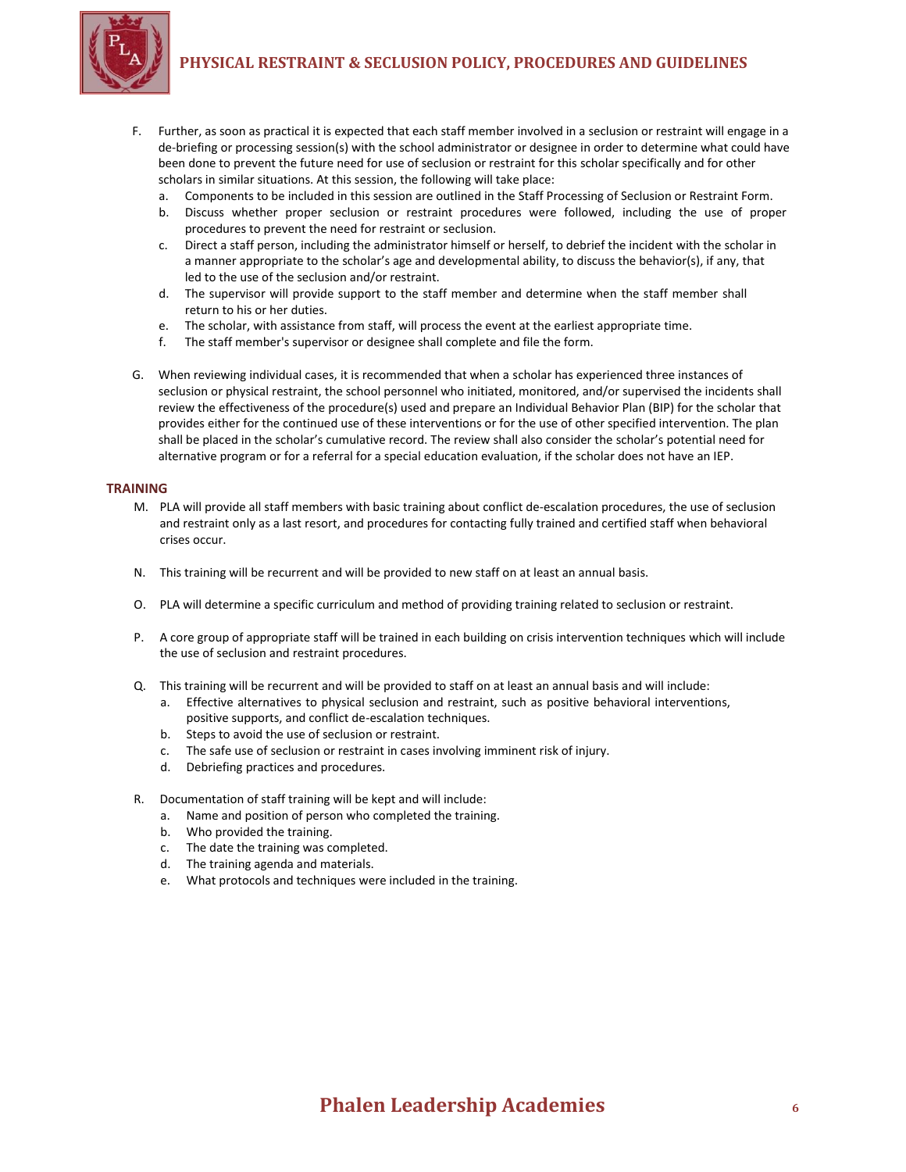

- F. Further, as soon as practical it is expected that each staff member involved in a seclusion or restraint will engage in a de-briefing or processing session(s) with the school administrator or designee in order to determine what could have been done to prevent the future need for use of seclusion or restraint for this scholar specifically and for other scholars in similar situations. At this session, the following will take place:
	- a. Components to be included in this session are outlined in the Staff Processing of Seclusion or Restraint Form.
	- b. Discuss whether proper seclusion or restraint procedures were followed, including the use of proper procedures to prevent the need for restraint or seclusion.
	- c. Direct a staff person, including the administrator himself or herself, to debrief the incident with the scholar in a manner appropriate to the scholar's age and developmental ability, to discuss the behavior(s), if any, that led to the use of the seclusion and/or restraint.
	- d. The supervisor will provide support to the staff member and determine when the staff member shall return to his or her duties.
	- e. The scholar, with assistance from staff, will process the event at the earliest appropriate time.
	- f. The staff member's supervisor or designee shall complete and file the form.
- G. When reviewing individual cases, it is recommended that when a scholar has experienced three instances of seclusion or physical restraint, the school personnel who initiated, monitored, and/or supervised the incidents shall review the effectiveness of the procedure(s) used and prepare an Individual Behavior Plan (BIP) for the scholar that provides either for the continued use of these interventions or for the use of other specified intervention. The plan shall be placed in the scholar's cumulative record. The review shall also consider the scholar's potential need for alternative program or for a referral for a special education evaluation, if the scholar does not have an IEP.

## **TRAINING**

- M. PLA will provide all staff members with basic training about conflict de-escalation procedures, the use of seclusion and restraint only as a last resort, and procedures for contacting fully trained and certified staff when behavioral crises occur.
- N. This training will be recurrent and will be provided to new staff on at least an annual basis.
- O. PLA will determine a specific curriculum and method of providing training related to seclusion or restraint.
- P. A core group of appropriate staff will be trained in each building on crisis intervention techniques which will include the use of seclusion and restraint procedures.
- Q. This training will be recurrent and will be provided to staff on at least an annual basis and will include:
	- a. Effective alternatives to physical seclusion and restraint, such as positive behavioral interventions, positive supports, and conflict de-escalation techniques.
	- b. Steps to avoid the use of seclusion or restraint.
	- c. The safe use of seclusion or restraint in cases involving imminent risk of injury.
	- d. Debriefing practices and procedures.
- R. Documentation of staff training will be kept and will include:
	- a. Name and position of person who completed the training.
	- b. Who provided the training.
	- c. The date the training was completed.
	- d. The training agenda and materials.
	- e. What protocols and techniques were included in the training.